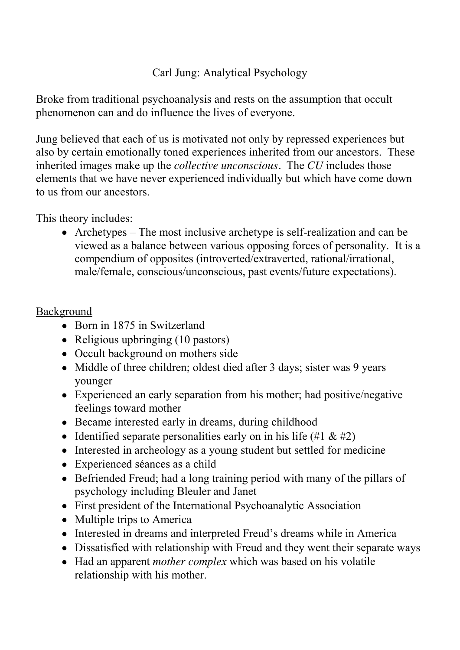## Carl Jung: Analytical Psychology

Broke from traditional psychoanalysis and rests on the assumption that occult phenomenon can and do influence the lives of everyone.

Jung believed that each of us is motivated not only by repressed experiences but also by certain emotionally toned experiences inherited from our ancestors. These inherited images make up the *collective unconscious.* The *CU* includes those elements that we have never experienced individually but which have come down to us from our ancestors.

This theory includes:

Archetypes – The most inclusive archetype is self-realization and can be viewed as a balance between various opposing forces of personality. It is a compendium of opposites (introverted/extraverted, rational/irrational, male/female, conscious/unconscious, past events/future expectations).

### Background

- Born in 1875 in Switzerland
- Religious upbringing (10 pastors)
- Occult background on mothers side
- Middle of three children; oldest died after 3 days; sister was 9 years younger
- Experienced an early separation from his mother; had positive/negative feelings toward mother
- Became interested early in dreams, during childhood
- Identified separate personalities early on in his life  $(\#1 \& \#2)$
- Interested in archeology as a young student but settled for medicine
- Experienced séances as a child
- Befriended Freud; had a long training period with many of the pillars of psychology including Bleuler and Janet
- First president of the International Psychoanalytic Association
- Multiple trips to America
- Interested in dreams and interpreted Freud's dreams while in America
- Dissatisfied with relationship with Freud and they went their separate ways
- Had an apparent *mother complex* which was based on his volatile relationship with his mother.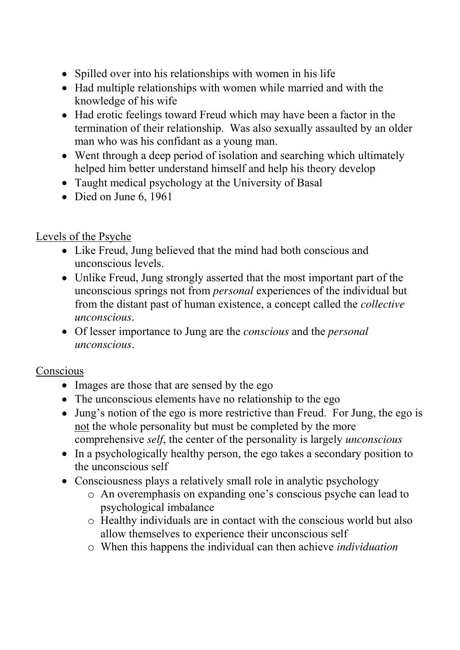- Spilled over into his relationships with women in his life
- Had multiple relationships with women while married and with the knowledge of his wife
- Had erotic feelings toward Freud which may have been a factor in the termination of their relationship. Was also sexually assaulted by an older man who was his confidant as a young man.
- Went through a deep period of isolation and searching which ultimately helped him better understand himself and help his theory develop
- Taught medical psychology at the University of Basal
- Died on June 6, 1961

# Levels of the Psyche

- Like Freud, Jung believed that the mind had both conscious and unconscious levels.
- Unlike Freud, Jung strongly asserted that the most important part of the unconscious springs not from *personal* experiences of the individual but from the distant past of human existence, a concept called the *collective unconscious*.
- Of lesser importance to Jung are the *conscious* and the *personal unconscious*.

## Conscious

- Images are those that are sensed by the ego
- The unconscious elements have no relationship to the ego
- Jung's notion of the ego is more restrictive than Freud. For Jung, the ego is not the whole personality but must be completed by the more comprehensive *self*, the center of the personality is largely *unconscious*
- In a psychologically healthy person, the ego takes a secondary position to the unconscious self
- Consciousness plays a relatively small role in analytic psychology
	- o An overemphasis on expanding one's conscious psyche can lead to psychological imbalance
	- o Healthy individuals are in contact with the conscious world but also allow themselves to experience their unconscious self
	- o When this happens the individual can then achieve *individuation*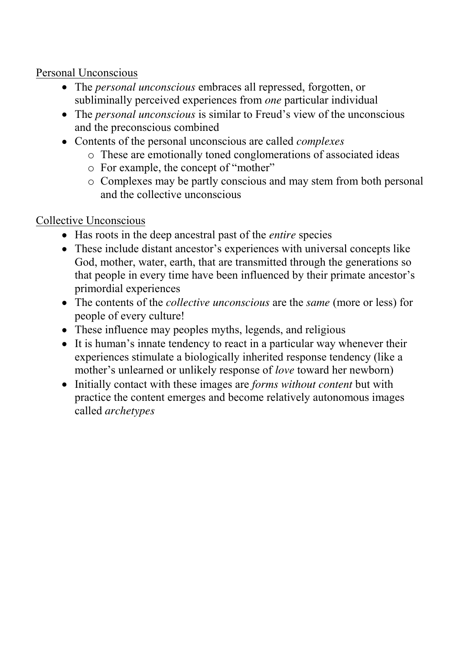Personal Unconscious

- The *personal unconscious* embraces all repressed, forgotten, or subliminally perceived experiences from *one* particular individual
- The *personal unconscious* is similar to Freud's view of the unconscious and the preconscious combined
- Contents of the personal unconscious are called *complexes*
	- o These are emotionally toned conglomerations of associated ideas
	- o For example, the concept of "mother"
	- o Complexes may be partly conscious and may stem from both personal and the collective unconscious

# Collective Unconscious

- Has roots in the deep ancestral past of the *entire* species
- These include distant ancestor's experiences with universal concepts like God, mother, water, earth, that are transmitted through the generations so that people in every time have been influenced by their primate ancestor's primordial experiences
- The contents of the *collective unconscious* are the *same* (more or less) for people of every culture!
- These influence may peoples myths, legends, and religious
- It is human's innate tendency to react in a particular way whenever their experiences stimulate a biologically inherited response tendency (like a mother's unlearned or unlikely response of *love* toward her newborn)
- Initially contact with these images are *forms without content* but with practice the content emerges and become relatively autonomous images called *archetypes*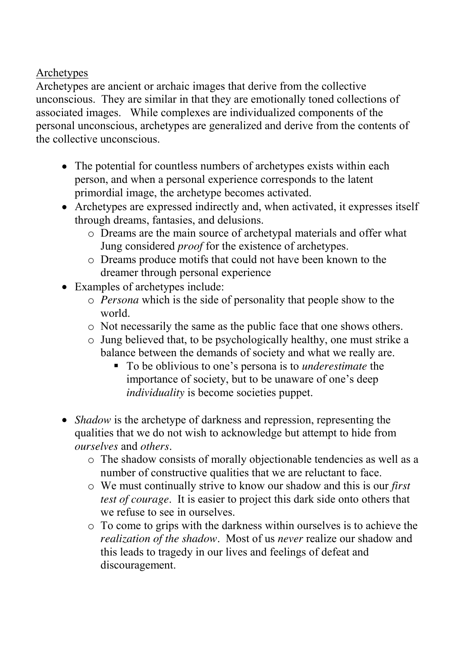Archetypes

Archetypes are ancient or archaic images that derive from the collective unconscious. They are similar in that they are emotionally toned collections of associated images. While complexes are individualized components of the personal unconscious, archetypes are generalized and derive from the contents of the collective unconscious.

- The potential for countless numbers of archetypes exists within each person, and when a personal experience corresponds to the latent primordial image, the archetype becomes activated.
- Archetypes are expressed indirectly and, when activated, it expresses itself through dreams, fantasies, and delusions.
	- o Dreams are the main source of archetypal materials and offer what Jung considered *proof* for the existence of archetypes.
	- o Dreams produce motifs that could not have been known to the dreamer through personal experience
- Examples of archetypes include:
	- o *Persona* which is the side of personality that people show to the world.
	- o Not necessarily the same as the public face that one shows others.
	- o Jung believed that, to be psychologically healthy, one must strike a balance between the demands of society and what we really are.
		- To be oblivious to one's persona is to *underestimate* the importance of society, but to be unaware of one's deep *individuality* is become societies puppet.
- *Shadow* is the archetype of darkness and repression, representing the qualities that we do not wish to acknowledge but attempt to hide from *ourselves* and *others*.
	- o The shadow consists of morally objectionable tendencies as well as a number of constructive qualities that we are reluctant to face.
	- o We must continually strive to know our shadow and this is our *first test of courage*. It is easier to project this dark side onto others that we refuse to see in ourselves.
	- o To come to grips with the darkness within ourselves is to achieve the *realization of the shadow*. Most of us *never* realize our shadow and this leads to tragedy in our lives and feelings of defeat and discouragement.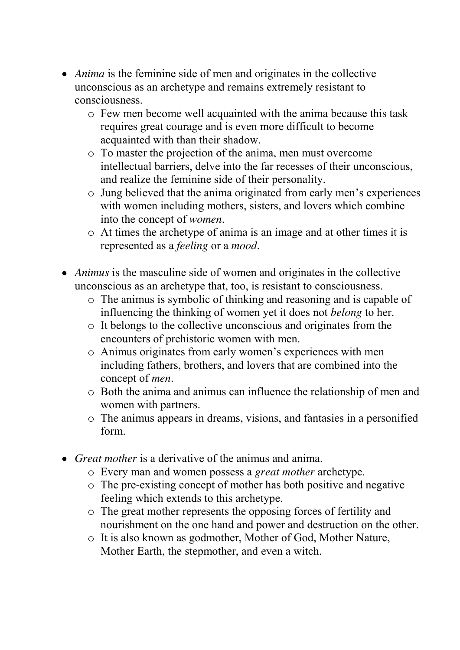- *Anima* is the feminine side of men and originates in the collective unconscious as an archetype and remains extremely resistant to consciousness.
	- o Few men become well acquainted with the anima because this task requires great courage and is even more difficult to become acquainted with than their shadow.
	- o To master the projection of the anima, men must overcome intellectual barriers, delve into the far recesses of their unconscious, and realize the feminine side of their personality.
	- o Jung believed that the anima originated from early men's experiences with women including mothers, sisters, and lovers which combine into the concept of *women*.
	- o At times the archetype of anima is an image and at other times it is represented as a *feeling* or a *mood*.
- *Animus* is the masculine side of women and originates in the collective unconscious as an archetype that, too, is resistant to consciousness.
	- o The animus is symbolic of thinking and reasoning and is capable of influencing the thinking of women yet it does not *belong* to her.
	- o It belongs to the collective unconscious and originates from the encounters of prehistoric women with men.
	- o Animus originates from early women's experiences with men including fathers, brothers, and lovers that are combined into the concept of *men*.
	- o Both the anima and animus can influence the relationship of men and women with partners.
	- o The animus appears in dreams, visions, and fantasies in a personified form.
- *Great mother* is a derivative of the animus and anima.
	- o Every man and women possess a *great mother* archetype.
	- o The pre-existing concept of mother has both positive and negative feeling which extends to this archetype.
	- o The great mother represents the opposing forces of fertility and nourishment on the one hand and power and destruction on the other.
	- o It is also known as godmother, Mother of God, Mother Nature, Mother Earth, the stepmother, and even a witch.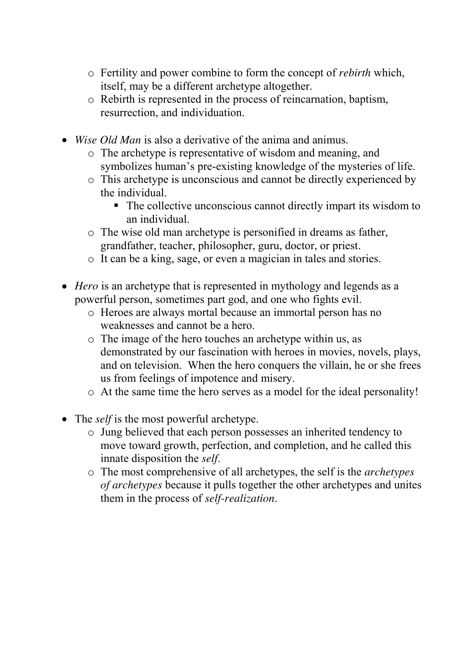- o Fertility and power combine to form the concept of *rebirth* which, itself, may be a different archetype altogether.
- o Rebirth is represented in the process of reincarnation, baptism, resurrection, and individuation.
- *Wise Old Man* is also a derivative of the anima and animus.
	- o The archetype is representative of wisdom and meaning, and symbolizes human's pre-existing knowledge of the mysteries of life.
	- o This archetype is unconscious and cannot be directly experienced by the individual.
		- The collective unconscious cannot directly impart its wisdom to an individual.
	- o The wise old man archetype is personified in dreams as father, grandfather, teacher, philosopher, guru, doctor, or priest.
	- o It can be a king, sage, or even a magician in tales and stories.
- *Hero* is an archetype that is represented in mythology and legends as a powerful person, sometimes part god, and one who fights evil.
	- o Heroes are always mortal because an immortal person has no weaknesses and cannot be a hero.
	- o The image of the hero touches an archetype within us, as demonstrated by our fascination with heroes in movies, novels, plays, and on television. When the hero conquers the villain, he or she frees us from feelings of impotence and misery.
	- o At the same time the hero serves as a model for the ideal personality!
- The *self* is the most powerful archetype.
	- o Jung believed that each person possesses an inherited tendency to move toward growth, perfection, and completion, and he called this innate disposition the *self*.
	- o The most comprehensive of all archetypes, the self is the *archetypes of archetypes* because it pulls together the other archetypes and unites them in the process of *self-realization*.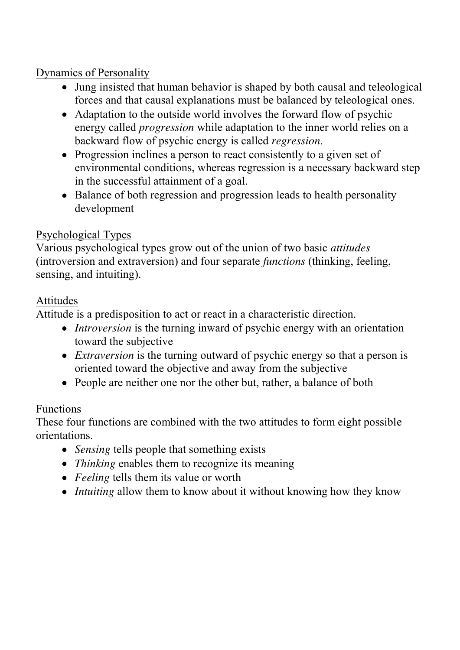#### Dynamics of Personality

- Jung insisted that human behavior is shaped by both causal and teleological forces and that causal explanations must be balanced by teleological ones.
- Adaptation to the outside world involves the forward flow of psychic energy called *progression* while adaptation to the inner world relies on a backward flow of psychic energy is called *regression*.
- Progression inclines a person to react consistently to a given set of environmental conditions, whereas regression is a necessary backward step in the successful attainment of a goal.
- Balance of both regression and progression leads to health personality development

# Psychological Types

Various psychological types grow out of the union of two basic *attitudes* (introversion and extraversion) and four separate *functions* (thinking, feeling, sensing, and intuiting).

## Attitudes

Attitude is a predisposition to act or react in a characteristic direction.

- *Introversion* is the turning inward of psychic energy with an orientation toward the subjective
- *Extraversion* is the turning outward of psychic energy so that a person is oriented toward the objective and away from the subjective
- People are neither one nor the other but, rather, a balance of both

## Functions

These four functions are combined with the two attitudes to form eight possible orientations.

- *Sensing* tells people that something exists
- *Thinking* enables them to recognize its meaning
- *Feeling* tells them its value or worth
- *Intuiting* allow them to know about it without knowing how they know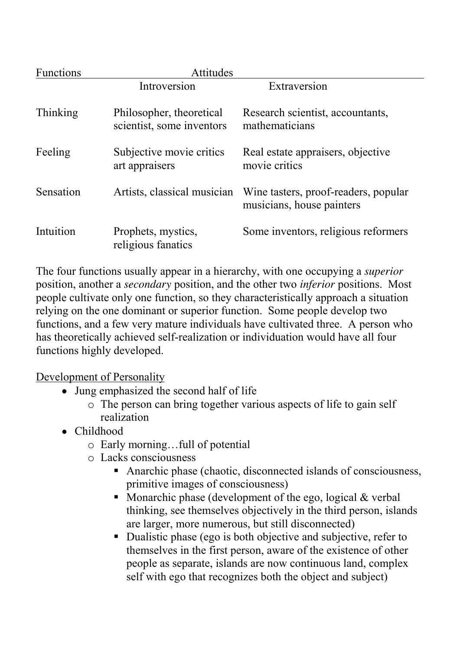| <b>Functions</b> | <b>Attitudes</b>                                      |                                                                   |
|------------------|-------------------------------------------------------|-------------------------------------------------------------------|
|                  | Introversion                                          | Extraversion                                                      |
| Thinking         | Philosopher, theoretical<br>scientist, some inventors | Research scientist, accountants,<br>mathematicians                |
| Feeling          | Subjective movie critics<br>art appraisers            | Real estate appraisers, objective<br>movie critics                |
| Sensation        | Artists, classical musician                           | Wine tasters, proof-readers, popular<br>musicians, house painters |
| Intuition        | Prophets, mystics,<br>religious fanatics              | Some inventors, religious reformers                               |

The four functions usually appear in a hierarchy, with one occupying a *superior* position, another a *secondary* position, and the other two *inferior* positions. Most people cultivate only one function, so they characteristically approach a situation relying on the one dominant or superior function. Some people develop two functions, and a few very mature individuals have cultivated three. A person who has theoretically achieved self-realization or individuation would have all four functions highly developed.

Development of Personality

- Jung emphasized the second half of life
	- o The person can bring together various aspects of life to gain self realization
- Childhood
	- o Early morning…full of potential
	- o Lacks consciousness
		- Anarchic phase (chaotic, disconnected islands of consciousness, primitive images of consciousness)
		- Monarchic phase (development of the ego, logical  $&$  verbal thinking, see themselves objectively in the third person, islands are larger, more numerous, but still disconnected)
		- Dualistic phase (ego is both objective and subjective, refer to themselves in the first person, aware of the existence of other people as separate, islands are now continuous land, complex self with ego that recognizes both the object and subject)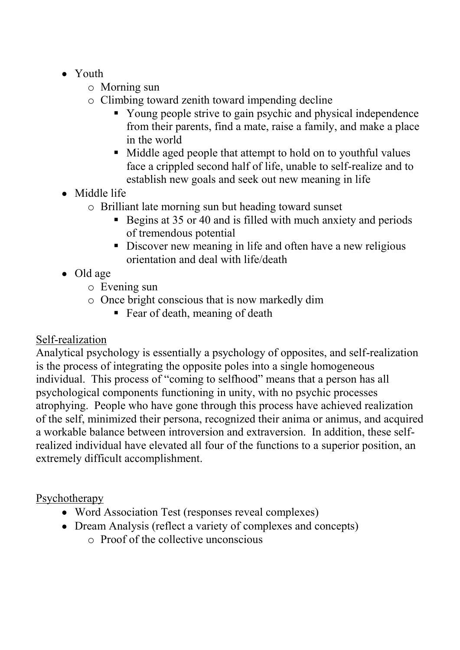- Youth
	- o Morning sun
	- o Climbing toward zenith toward impending decline
		- Young people strive to gain psychic and physical independence from their parents, find a mate, raise a family, and make a place in the world
		- Middle aged people that attempt to hold on to youthful values face a crippled second half of life, unable to self-realize and to establish new goals and seek out new meaning in life
- Middle life
	- o Brilliant late morning sun but heading toward sunset
		- Begins at 35 or 40 and is filled with much anxiety and periods of tremendous potential
		- Discover new meaning in life and often have a new religious orientation and deal with life/death
- Old age
	- o Evening sun
	- o Once bright conscious that is now markedly dim
		- Fear of death, meaning of death

## Self-realization

Analytical psychology is essentially a psychology of opposites, and self-realization is the process of integrating the opposite poles into a single homogeneous individual. This process of "coming to selfhood" means that a person has all psychological components functioning in unity, with no psychic processes atrophying. People who have gone through this process have achieved realization of the self, minimized their persona, recognized their anima or animus, and acquired a workable balance between introversion and extraversion. In addition, these selfrealized individual have elevated all four of the functions to a superior position, an extremely difficult accomplishment.

## Psychotherapy

- Word Association Test (responses reveal complexes)
- Dream Analysis (reflect a variety of complexes and concepts)  $\circ$  Proof of the collective unconscious